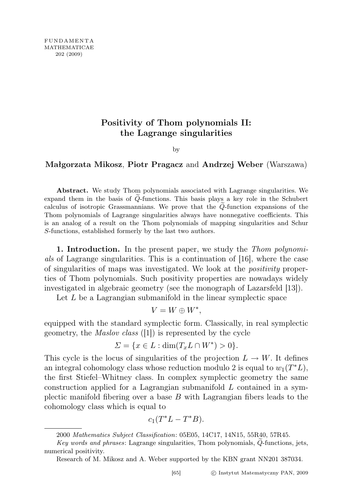## Positivity of Thom polynomials II: the Lagrange singularities

by

## Małgorzata Mikosz, Piotr Pragacz and Andrzej Weber (Warszawa)

Abstract. We study Thom polynomials associated with Lagrange singularities. We expand them in the basis of  $Q$ -functions. This basis plays a key role in the Schubert calculus of isotropic Grassmannians. We prove that the  $Q$ -function expansions of the Thom polynomials of Lagrange singularities always have nonnegative coefficients. This is an analog of a result on the Thom polynomials of mapping singularities and Schur S-functions, established formerly by the last two authors.

1. Introduction. In the present paper, we study the Thom polynomials of Lagrange singularities. This is a continuation of [16], where the case of singularities of maps was investigated. We look at the positivity properties of Thom polynomials. Such positivity properties are nowadays widely investigated in algebraic geometry (see the monograph of Lazarsfeld [13]).

Let  $L$  be a Lagrangian submanifold in the linear symplectic space

$$
V = W \oplus W^*,
$$

equipped with the standard symplectic form. Classically, in real symplectic geometry, the Maslov class ([1]) is represented by the cycle

$$
\Sigma = \{ x \in L : \dim(T_x L \cap W^*) > 0 \}.
$$

This cycle is the locus of singularities of the projection  $L \to W$ . It defines an integral cohomology class whose reduction modulo 2 is equal to  $w_1(T^*L)$ , the first Stiefel–Whitney class. In complex symplectic geometry the same construction applied for a Lagrangian submanifold  $L$  contained in a symplectic manifold fibering over a base  $B$  with Lagrangian fibers leads to the cohomology class which is equal to

$$
c_1(T^*L-T^*B).
$$

<sup>2000</sup> Mathematics Subject Classification: 05E05, 14C17, 14N15, 55R40, 57R45.

Key words and phrases: Lagrange singularities, Thom polynomials, Q-functions, jets, numerical positivity.

Research of M. Mikosz and A. Weber supported by the KBN grant NN201 387034.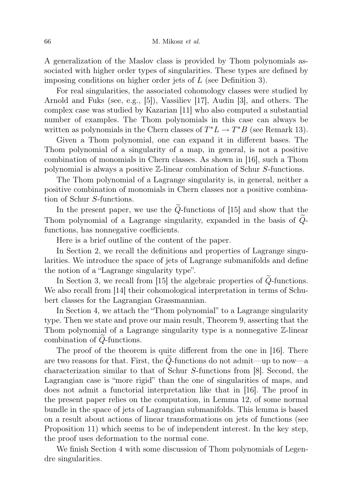A generalization of the Maslov class is provided by Thom polynomials associated with higher order types of singularities. These types are defined by imposing conditions on higher order jets of L (see Definition 3).

For real singularities, the associated cohomology classes were studied by Arnold and Fuks (see, e.g., [5]), Vassiliev [17], Audin [3], and others. The complex case was studied by Kazarian [11] who also computed a substantial number of examples. The Thom polynomials in this case can always be written as polynomials in the Chern classes of  $T^*L \to T^*B$  (see Remark 13).

Given a Thom polynomial, one can expand it in different bases. The Thom polynomial of a singularity of a map, in general, is not a positive combination of monomials in Chern classes. As shown in [16], such a Thom polynomial is always a positive Z-linear combination of Schur S-functions.

The Thom polynomial of a Lagrange singularity is, in general, neither a positive combination of monomials in Chern classes nor a positive combination of Schur S-functions.

In the present paper, we use the  $\tilde{Q}$ -functions of [15] and show that the Thom polynomial of a Lagrange singularity, expanded in the basis of  $Q$ functions, has nonnegative coefficients.

Here is a brief outline of the content of the paper.

In Section 2, we recall the definitions and properties of Lagrange singularities. We introduce the space of jets of Lagrange submanifolds and define the notion of a "Lagrange singularity type".

In Section 3, we recall from  $[15]$  the algebraic properties of  $Q$ -functions. We also recall from [14] their cohomological interpretation in terms of Schubert classes for the Lagrangian Grassmannian.

In Section 4, we attach the "Thom polynomial" to a Lagrange singularity type. Then we state and prove our main result, Theorem 9, asserting that the Thom polynomial of a Lagrange singularity type is a nonnegative Z-linear combination of  $Q$ -functions.

The proof of the theorem is quite different from the one in [16]. There are two reasons for that. First, the  $Q$ -functions do not admit—up to now—a characterization similar to that of Schur S-functions from [8]. Second, the Lagrangian case is "more rigid" than the one of singularities of maps, and does not admit a functorial interpretation like that in [16]. The proof in the present paper relies on the computation, in Lemma 12, of some normal bundle in the space of jets of Lagrangian submanifolds. This lemma is based on a result about actions of linear transformations on jets of functions (see Proposition 11) which seems to be of independent interest. In the key step, the proof uses deformation to the normal cone.

We finish Section 4 with some discussion of Thom polynomials of Legendre singularities.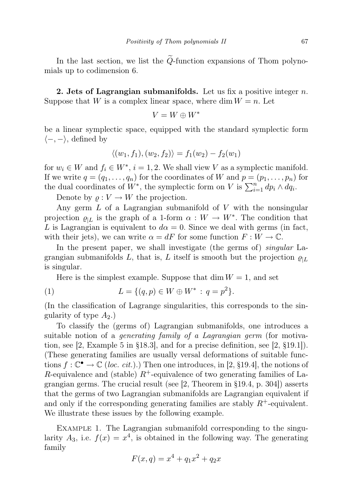In the last section, we list the  $\tilde{Q}$ -function expansions of Thom polynomials up to codimension 6.

2. Jets of Lagrangian submanifolds. Let us fix a positive integer  $n$ . Suppose that W is a complex linear space, where dim  $W = n$ . Let

$$
V=W\oplus W^*
$$

be a linear symplectic space, equipped with the standard symplectic form  $\langle -, - \rangle$ , defined by

$$
\langle (w_1, f_1), (w_2, f_2) \rangle = f_1(w_2) - f_2(w_1)
$$

for  $w_i \in W$  and  $f_i \in W^*$ ,  $i = 1, 2$ . We shall view V as a symplectic manifold. If we write  $q = (q_1, \ldots, q_n)$  for the coordinates of W and  $p = (p_1, \ldots, p_n)$  for the dual coordinates of  $W^*$ , the symplectic form on V is  $\sum_{i=1}^n dp_i \wedge dq_i$ .

Denote by  $\rho: V \to W$  the projection.

Any germ  $L$  of a Lagrangian submanifold of  $V$  with the nonsingular projection  $\varrho_{|L}$  is the graph of a 1-form  $\alpha: W \to W^*$ . The condition that L is Lagrangian is equivalent to  $d\alpha = 0$ . Since we deal with germs (in fact, with their jets), we can write  $\alpha = dF$  for some function  $F: W \to \mathbb{C}$ .

In the present paper, we shall investigate (the germs of) *singular* Lagrangian submanifolds L, that is, L itself is smooth but the projection  $\rho_{|L}$ is singular.

Here is the simplest example. Suppose that  $\dim W = 1$ , and set

(1) 
$$
L = \{(q, p) \in W \oplus W^* : q = p^2\}.
$$

(In the classification of Lagrange singularities, this corresponds to the singularity of type  $A_2$ .)

To classify the (germs of) Lagrangian submanifolds, one introduces a suitable notion of a *generating family of a Lagrangian germ* (for motivation, see  $[2, \text{Example 5 in } \S18.3]$ , and for a precise definition, see  $[2, \S19.1]$ . (These generating families are usually versal deformations of suitable functions  $f: \mathbb{C}^{\bullet} \to \mathbb{C}$  (loc. cit.).) Then one introduces, in [2, §19.4], the notions of R-equivalence and (stable)  $R^+$ -equivalence of two generating families of Lagrangian germs. The crucial result (see  $[2,$  Theorem in  $\S 19.4$ , p. 304) asserts that the germs of two Lagrangian submanifolds are Lagrangian equivalent if and only if the corresponding generating families are stably  $R^+$ -equivalent. We illustrate these issues by the following example.

EXAMPLE 1. The Lagrangian submanifold corresponding to the singularity  $A_3$ , i.e.  $f(x) = x^4$ , is obtained in the following way. The generating family

$$
F(x,q) = x^4 + q_1 x^2 + q_2 x
$$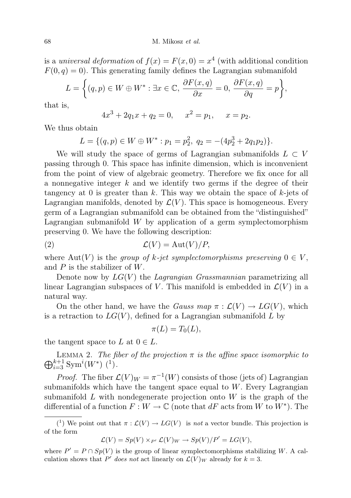68 M. Mikosz et al.

is a universal deformation of  $f(x) = F(x, 0) = x^4$  (with additional condition  $F(0, q) = 0$ . This generating family defines the Lagrangian submanifold

$$
L = \left\{ (q, p) \in W \oplus W^* : \exists x \in \mathbb{C}, \, \frac{\partial F(x, q)}{\partial x} = 0, \, \frac{\partial F(x, q)}{\partial q} = p \right\},\
$$

that is,

$$
4x^3 + 2q_1x + q_2 = 0, \quad x^2 = p_1, \quad x = p_2.
$$

We thus obtain

$$
L = \{(q, p) \in W \oplus W^* : p_1 = p_2^2, q_2 = -(4p_2^3 + 2q_1p_2)\}.
$$

We will study the space of germs of Lagrangian submanifolds  $L \subset V$ passing through 0. This space has infinite dimension, which is inconvenient from the point of view of algebraic geometry. Therefore we fix once for all a nonnegative integer k and we identify two germs if the degree of their tangency at 0 is greater than  $k$ . This way we obtain the space of  $k$ -jets of Lagrangian manifolds, denoted by  $\mathcal{L}(V)$ . This space is homogeneous. Every germ of a Lagrangian submanifold can be obtained from the "distinguished" Lagrangian submanifold  $W$  by application of a germ symplectomorphism preserving 0. We have the following description:

$$
(2) \t\t \mathcal{L}(V) = \text{Aut}(V)/P,
$$

where Aut(V) is the group of k-jet symplectomorphisms preserving  $0 \in V$ , and  $P$  is the stabilizer of  $W$ .

Denote now by  $LG(V)$  the Lagrangian Grassmannian parametrizing all linear Lagrangian subspaces of V. This manifold is embedded in  $\mathcal{L}(V)$  in a natural way.

On the other hand, we have the *Gauss map*  $\pi : \mathcal{L}(V) \to LG(V)$ , which is a retraction to  $LG(V)$ , defined for a Lagrangian submanifold L by

$$
\pi(L) = T_0(L),
$$

the tangent space to L at  $0 \in L$ .

 $\bigoplus_{i=3}^{k+1} \text{Sym}^i(W^*)$  (<sup>1</sup>). LEMMA 2. The fiber of the projection  $\pi$  is the affine space isomorphic to

*Proof.* The fiber  $\mathcal{L}(V)_W = \pi^{-1}(W)$  consists of those (jets of) Lagrangian submanifolds which have the tangent space equal to  $W$ . Every Lagrangian submanifold  $L$  with nondegenerate projection onto  $W$  is the graph of the differential of a function  $F: W \to \mathbb{C}$  (note that  $dF$  acts from W to  $W^*$ ). The

$$
\mathcal{L}(V) = Sp(V) \times_{P'} \mathcal{L}(V)_{W} \to Sp(V)/P' = LG(V),
$$

<sup>(&</sup>lt;sup>1</sup>) We point out that  $\pi : \mathcal{L}(V) \to LG(V)$  is not a vector bundle. This projection is of the form

where  $P' = P \cap Sp(V)$  is the group of linear symplectomorphisms stabilizing W. A calculation shows that P' does not act linearly on  $\mathcal{L}(V)_W$  already for  $k = 3$ .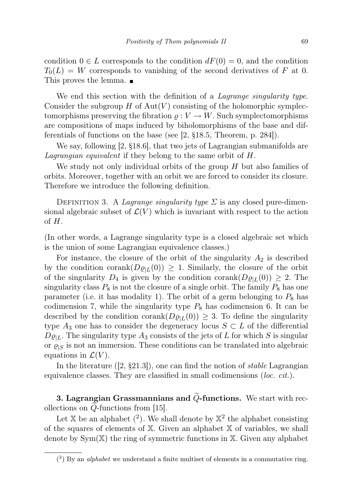condition  $0 \in L$  corresponds to the condition  $dF(0) = 0$ , and the condition  $T_0(L) = W$  corresponds to vanishing of the second derivatives of F at 0. This proves the lemma.

We end this section with the definition of a *Lagrange singularity type*. Consider the subgroup  $H$  of  $Aut(V)$  consisting of the holomorphic symplectomorphisms preserving the fibration  $\rho: V \to W$ . Such symplectomorphisms are compositions of maps induced by biholomorphisms of the base and differentials of functions on the base (see [2, §18.5, Theorem, p. 284]).

We say, following [2, §18.6], that two jets of Lagrangian submanifolds are Lagrangian equivalent if they belong to the same orbit of H.

We study not only individual orbits of the group H but also families of orbits. Moreover, together with an orbit we are forced to consider its closure. Therefore we introduce the following definition.

DEFINITION 3. A *Lagrange singularity type*  $\Sigma$  is any closed pure-dimensional algebraic subset of  $\mathcal{L}(V)$  which is invariant with respect to the action of H.

(In other words, a Lagrange singularity type is a closed algebraic set which is the union of some Lagrangian equivalence classes.)

For instance, the closure of the orbit of the singularity  $A_2$  is described by the condition corank( $D\varrho_{|L}(0)$ )  $\geq$  1. Similarly, the closure of the orbit of the singularity  $D_4$  is given by the condition corank $(D\varrho_{|L}(0)) \geq 2$ . The singularity class  $P_8$  is not the closure of a single orbit. The family  $P_8$  has one parameter (i.e. it has modality 1). The orbit of a germ belonging to  $P_8$  has codimension 7, while the singularity type  $P_8$  has codimension 6. It can be described by the condition corank( $D\varrho_{L}(0)$ )  $\geq$  3. To define the singularity type  $A_3$  one has to consider the degeneracy locus  $S \subset L$  of the differential  $D\varrho_{|L}$ . The singularity type  $A_3$  consists of the jets of L for which S is singular or  $\rho_{\text{S}}$  is not an immersion. These conditions can be translated into algebraic equations in  $\mathcal{L}(V)$ .

In the literature  $(2, §21.3)$ , one can find the notion of *stable* Lagrangian equivalence classes. They are classified in small codimensions (loc. cit.).

3. Lagrangian Grassmannians and  $\ddot{Q}$ -functions. We start with recollections on  $Q$ -functions from [15].

Let X be an alphabet  $(2)$ . We shall denote by  $\mathbb{X}^2$  the alphabet consisting of the squares of elements of  $X$ . Given an alphabet  $X$  of variables, we shall denote by  $Sym(X)$  the ring of symmetric functions in X. Given any alphabet

 $(2)$  By an *alphabet* we understand a finite multiset of elements in a commutative ring.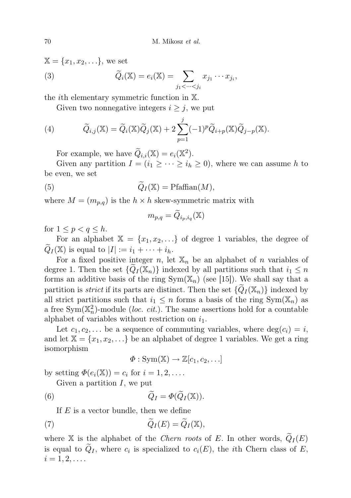$$
\mathbb{X} = \{x_1, x_2, \ldots\}, \text{ we set}
$$
  
(3) 
$$
\widetilde{Q}_i(\mathbb{X}) = e_i(\mathbb{X}) = \sum_{j_1 < \cdots < j_i} x_{j_1} \cdots x_{j_i},
$$

the ith elementary symmetric function in X.

Given two nonnegative integers  $i \geq j$ , we put

(4) 
$$
\widetilde{Q}_{i,j}(\mathbb{X}) = \widetilde{Q}_i(\mathbb{X})\widetilde{Q}_j(\mathbb{X}) + 2\sum_{p=1}^j (-1)^p \widetilde{Q}_{i+p}(\mathbb{X})\widetilde{Q}_{j-p}(\mathbb{X}).
$$

For example, we have  $\widetilde{Q}_{i,i}(\mathbb{X}) = e_i(\mathbb{X}^2)$ .

Given any partition  $I = (i_1 \geq \cdots \geq i_h \geq 0)$ , where we can assume h to be even, we set

(5) 
$$
\widetilde{Q}_I(\mathbb{X}) = \text{Pfaffian}(M),
$$

where  $M = (m_{p,q})$  is the  $h \times h$  skew-symmetric matrix with

$$
m_{p,q} = \widetilde{Q}_{i_p,i_q}(\mathbb{X})
$$

for  $1 \leq p < q \leq h$ .

For an alphabet  $X = \{x_1, x_2, ...\}$  of degree 1 variables, the degree of  $Q_I(\mathbb{X})$  is equal to  $|I| := i_1 + \cdots + i_h$ .

For a fixed positive integer n, let  $\mathbb{X}_n$  be an alphabet of n variables of degree 1. Then the set  $\{Q_I(\mathbb{X}_n)\}\$ indexed by all partitions such that  $i_1 \leq n$ forms an additive basis of the ring  $Sym(X_n)$  (see [15]). We shall say that a partition is *strict* if its parts are distinct. Then the set  $\{Q_I(\mathbb{X}_n)\}\)$  indexed by all strict partitions such that  $i_1 \leq n$  forms a basis of the ring  $Sym(\mathbb{X}_n)$  as a free Sym( $\mathbb{X}_n^2$ )-module (*loc. cit.*). The same assertions hold for a countable alphabet of variables without restriction on  $i_1$ .

Let  $c_1, c_2, \ldots$  be a sequence of commuting variables, where  $deg(c_i) = i$ , and let  $\mathbb{X} = \{x_1, x_2, \ldots\}$  be an alphabet of degree 1 variables. We get a ring isomorphism

$$
\Phi: \mathrm{Sym}(\mathbb{X}) \to \mathbb{Z}[c_1, c_2, \ldots]
$$

by setting  $\Phi(e_i(\mathbb{X})) = c_i$  for  $i = 1, 2, \ldots$ .

Given a partition  $I$ , we put

(6) 
$$
\widetilde{Q}_I = \Phi(\widetilde{Q}_I(\mathbb{X})).
$$

If  $E$  is a vector bundle, then we define

(7) 
$$
\widetilde{Q}_I(E) = \widetilde{Q}_I(\mathbb{X}),
$$

where X is the alphabet of the Chern roots of E. In other words,  $\widetilde{Q}_I(E)$ is equal to  $Q_I$ , where  $c_i$  is specialized to  $c_i(E)$ , the *i*th Chern class of E,  $i = 1, 2, \ldots$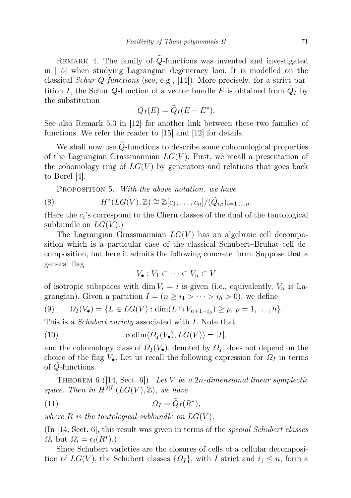REMARK 4. The family of  $\tilde{Q}$ -functions was invented and investigated in [15] when studying Lagrangian degeneracy loci. It is modelled on the classical *Schur Q-functions* (see, e.g., [14]). More precisely, for a strict partition I, the Schur Q-function of a vector bundle E is obtained from  $Q_I$  by the substitution

$$
Q_I(E) = \widetilde{Q}_I(E - E^*).
$$

See also Remark 5.3 in [12] for another link between these two families of functions. We refer the reader to [15] and [12] for details.

We shall now use  $Q$ -functions to describe some cohomological properties of the Lagrangian Grassmannian  $LG(V)$ . First, we recall a presentation of the cohomology ring of  $LG(V)$  by generators and relations that goes back to Borel [4].

PROPOSITION 5. With the above notation, we have

(8) 
$$
H^*(LG(V),\mathbb{Z}) \cong \mathbb{Z}[c_1,\ldots,c_n]/(\widetilde{Q}_{i,i})_{i=1,\ldots,n}.
$$

(Here the  $c_i$ 's correspond to the Chern classes of the dual of the tautological subbundle on  $LG(V)$ .)

The Lagrangian Grassmannian  $LG(V)$  has an algebraic cell decomposition which is a particular case of the classical Schubert–Bruhat cell decomposition, but here it admits the following concrete form. Suppose that a general flag

$$
V_{\bullet}: V_1 \subset \cdots \subset V_n \subset V
$$

of isotropic subspaces with dim  $V_i = i$  is given (i.e., equivalently,  $V_n$  is Lagrangian). Given a partition  $I = (n \ge i_1 > \cdots > i_h > 0)$ , we define

(9) 
$$
\Omega_I(V_{\bullet}) = \{ L \in LG(V) : \dim(L \cap V_{n+1-i_p}) \geq p, \ p = 1, \ldots, h \}.
$$

This is a *Schubert variety* associated with I. Note that

(10) 
$$
\operatorname{codim}(\Omega_I(V_\bullet), LG(V)) = |I|,
$$

and the cohomology class of  $\Omega_I(V_{\bullet})$ , denoted by  $\Omega_I$ , does not depend on the choice of the flag  $V_{\bullet}$ . Let us recall the following expression for  $\Omega_I$  in terms of Q-functions.

THEOREM 6 ([14, Sect. 6]). Let V be a 2n-dimensional linear symplectic space. Then in  $\hat{H}^{2|I|}(LG(V),\mathbb{Z})$ , we have

$$
(11) \t\t\t \Omega_I = \widetilde{Q}_I(R^*),
$$

where R is the tautological subbundle on  $LG(V)$ .

(In [14, Sect. 6], this result was given in terms of the special Schubert classes  $\Omega_i$  but  $\Omega_i = c_i(R^*)$ .)

Since Schubert varieties are the closures of cells of a cellular decomposition of  $LG(V)$ , the Schubert classes  $\{\Omega_I\}$ , with I strict and  $i_1 \leq n$ , form a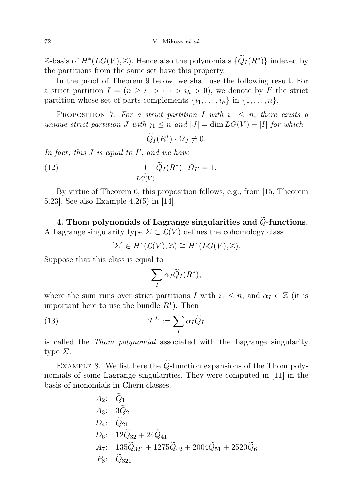$\mathbb{Z}$ -basis of  $H^*(LG(V), \mathbb{Z})$ . Hence also the polynomials  $\{\widetilde{Q}_I(R^*)\}$  indexed by the partitions from the same set have this property.

In the proof of Theorem 9 below, we shall use the following result. For a strict partition  $I = (n \geq i_1 > \cdots > i_h > 0)$ , we denote by I' the strict partition whose set of parts complements  $\{i_1, \ldots, i_h\}$  in  $\{1, \ldots, n\}$ .

PROPOSITION 7. For a strict partition I with  $i_1 \leq n$ , there exists a unique strict partition J with  $j_1 \leq n$  and  $|J| = \dim LG(V) - |I|$  for which

$$
\widetilde{Q}_I(R^*)\cdot\Omega_J\neq 0.
$$

In fact, this  $J$  is equal to  $I'$ , and we have

(12) 
$$
\int_{LG(V)} \widetilde{Q}_I(R^*) \cdot \Omega_{I'} = 1.
$$

By virtue of Theorem 6, this proposition follows, e.g., from [15, Theorem 5.23]. See also Example 4.2(5) in [14].

4. Thom polynomials of Lagrange singularities and  $\tilde{Q}$ -functions. A Lagrange singularity type  $\Sigma \subset \mathcal{L}(V)$  defines the cohomology class

$$
[\Sigma] \in H^*(\mathcal{L}(V), \mathbb{Z}) \cong H^*(LG(V), \mathbb{Z}).
$$

Suppose that this class is equal to

$$
\sum_{I} \alpha_{I} \widetilde{Q}_{I}(R^*),
$$

where the sum runs over strict partitions I with  $i_1 \leq n$ , and  $\alpha_I \in \mathbb{Z}$  (it is important here to use the bundle  $R^*$ ). Then

(13) 
$$
\mathcal{T}^{\Sigma} := \sum_{I} \alpha_{I} \widetilde{Q}_{I}
$$

is called the Thom polynomial associated with the Lagrange singularity type  $\Sigma$ .

EXAMPLE 8. We list here the  $\widetilde{Q}$ -function expansions of the Thom polynomials of some Lagrange singularities. They were computed in [11] in the basis of monomials in Chern classes.

A<sub>2</sub>: 
$$
Q_1
$$
  
\nA<sub>3</sub>:  $3\tilde{Q}_2$   
\nD<sub>4</sub>:  $\tilde{Q}_{21}$   
\nD<sub>6</sub>:  $12\tilde{Q}_{32} + 24\tilde{Q}_{41}$   
\nA<sub>7</sub>:  $135\tilde{Q}_{321} + 1275\tilde{Q}_{42} + 2004\tilde{Q}_{51} + 2520\tilde{Q}_{6}$   
\nP<sub>8</sub>:  $\tilde{Q}_{321}$ .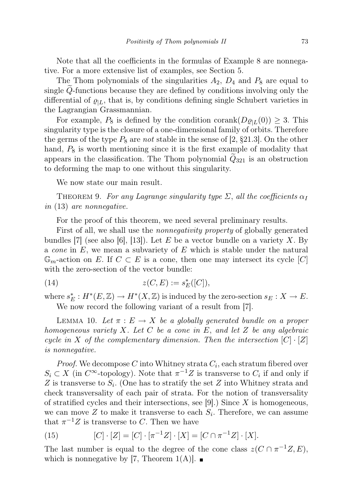Note that all the coefficients in the formulas of Example 8 are nonnegative. For a more extensive list of examples, see Section 5.

The Thom polynomials of the singularities  $A_2$ ,  $D_4$  and  $P_8$  are equal to single  $Q$ -functions because they are defined by conditions involving only the differential of  $\varrho_{|L}$ , that is, by conditions defining single Schubert varieties in the Lagrangian Grassmannian.

For example,  $P_8$  is defined by the condition corank $(D\varrho_{|L}(0)) \geq 3$ . This singularity type is the closure of a one-dimensional family of orbits. Therefore the germs of the type  $P_8$  are not stable in the sense of [2, §21.3]. On the other hand,  $P_8$  is worth mentioning since it is the first example of modality that appears in the classification. The Thom polynomial  $Q_{321}$  is an obstruction to deforming the map to one without this singularity.

We now state our main result.

THEOREM 9. For any Lagrange singularity type  $\Sigma$ , all the coefficients  $\alpha_I$ in (13) are nonnegative.

For the proof of this theorem, we need several preliminary results.

First of all, we shall use the *nonnegativity property* of globally generated bundles [7] (see also [6], [13]). Let E be a vector bundle on a variety X. By a *cone* in  $E$ , we mean a subvariety of  $E$  which is stable under the natural  $\mathbb{G}_m$ -action on E. If  $C \subset E$  is a cone, then one may intersect its cycle  $[C]$ with the zero-section of the vector bundle:

(14) 
$$
z(C, E) := s_E^*([C]),
$$

where  $s_E^*: H^*(E, \mathbb{Z}) \to H^*(X, \mathbb{Z})$  is induced by the zero-section  $s_E: X \to E$ . We now record the following variant of a result from  $|7|$ .

LEMMA 10. Let  $\pi : E \to X$  be a globally generated bundle on a proper homogeneous variety X. Let C be a cone in E, and let Z be any algebraic cycle in X of the complementary dimension. Then the intersection  $[C] \cdot [Z]$ is nonnegative.

*Proof.* We decompose C into Whitney strata  $C_i$ , each stratum fibered over  $S_i \subset X$  (in  $C^{\infty}$ -topology). Note that  $\pi^{-1}Z$  is transverse to  $C_i$  if and only if Z is transverse to  $S_i$ . (One has to stratify the set Z into Whitney strata and check transversality of each pair of strata. For the notion of transversality of stratified cycles and their intersections, see  $|9|$ .) Since X is homogeneous, we can move  $Z$  to make it transverse to each  $S_i$ . Therefore, we can assume that  $\pi^{-1}Z$  is transverse to C. Then we have

(15) 
$$
[C] \cdot [Z] = [C] \cdot [\pi^{-1}Z] \cdot [X] = [C \cap \pi^{-1}Z] \cdot [X].
$$

The last number is equal to the degree of the cone class  $z(C \cap \pi^{-1}Z, E)$ , which is nonnegative by [7, Theorem 1(A)].  $\blacksquare$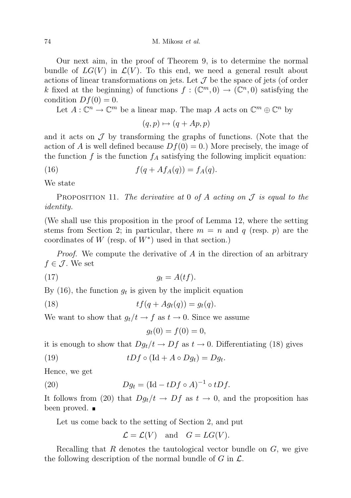74 M. Mikosz *et al.* 

Our next aim, in the proof of Theorem 9, is to determine the normal bundle of  $LG(V)$  in  $\mathcal{L}(V)$ . To this end, we need a general result about actions of linear transformations on jets. Let  $\mathcal J$  be the space of jets (of order k fixed at the beginning) of functions  $f: (\mathbb{C}^m,0) \to (\mathbb{C}^n,0)$  satisfying the condition  $Df(0) = 0$ .

Let  $A: \mathbb{C}^n \to \mathbb{C}^m$  be a linear map. The map A acts on  $\mathbb{C}^m \oplus \mathbb{C}^n$  by

$$
(q, p) \mapsto (q + Ap, p)
$$

and it acts on  $\mathcal J$  by transforming the graphs of functions. (Note that the action of A is well defined because  $Df(0) = 0$ .) More precisely, the image of the function  $f$  is the function  $f_A$  satisfying the following implicit equation:

(16) 
$$
f(q + Af_A(q)) = f_A(q).
$$

We state

PROPOSITION 11. The derivative at 0 of A acting on  $\mathcal J$  is equal to the identity.

(We shall use this proposition in the proof of Lemma 12, where the setting stems from Section 2; in particular, there  $m = n$  and q (resp. p) are the coordinates of  $W$  (resp. of  $W^*$ ) used in that section.)

*Proof.* We compute the derivative of A in the direction of an arbitrary  $f \in \mathcal{J}$ . We set

$$
(17) \t\t\t g_t = A(tf).
$$

By (16), the function  $g_t$  is given by the implicit equation

$$
(18) \t\t\t
$$
tf(q + Ag_t(q)) = g_t(q).
$$
$$

We want to show that  $g_t/t \to f$  as  $t \to 0$ . Since we assume

$$
g_t(0) = f(0) = 0,
$$

it is enough to show that  $Dg_t/t \to Df$  as  $t \to 0$ . Differentiating (18) gives

(19) 
$$
tDf \circ (\text{Id} + A \circ Dg_t) = Dg_t.
$$

Hence, we get

(20) 
$$
Dg_t = (\text{Id} - tDf \circ A)^{-1} \circ tDf.
$$

It follows from (20) that  $Dg_t/t \to Df$  as  $t \to 0$ , and the proposition has been proved.  $\blacksquare$ 

Let us come back to the setting of Section 2, and put

$$
\mathcal{L} = \mathcal{L}(V)
$$
 and  $G = LG(V)$ .

Recalling that  $R$  denotes the tautological vector bundle on  $G$ , we give the following description of the normal bundle of  $G$  in  $\mathcal{L}$ .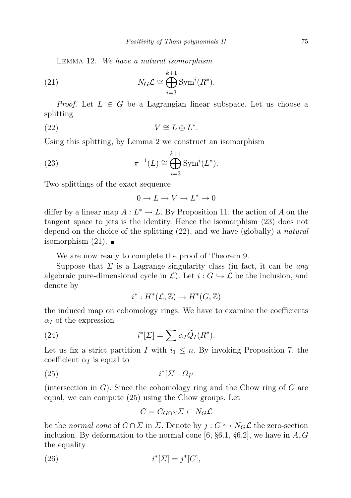Lemma 12. We have a natural isomorphism

(21) 
$$
N_G \mathcal{L} \cong \bigoplus_{i=3}^{k+1} \text{Sym}^i(R^*).
$$

*Proof.* Let  $L \in G$  be a Lagrangian linear subspace. Let us choose a splitting

(22) 
$$
V \cong L \oplus L^*.
$$

Using this splitting, by Lemma 2 we construct an isomorphism

(23) 
$$
\pi^{-1}(L) \cong \bigoplus_{i=3}^{k+1} \text{Sym}^i(L^*).
$$

Two splittings of the exact sequence

 $0 \to L \to V \to L^* \to 0$ 

differ by a linear map  $A: L^* \to L$ . By Proposition 11, the action of A on the tangent space to jets is the identity. Hence the isomorphism (23) does not depend on the choice of the splitting (22), and we have (globally) a natural isomorphism  $(21)$ .

We are now ready to complete the proof of Theorem 9.

Suppose that  $\Sigma$  is a Lagrange singularity class (in fact, it can be any algebraic pure-dimensional cycle in  $\mathcal{L}$ ). Let  $i : G \hookrightarrow \mathcal{L}$  be the inclusion, and denote by

$$
i^*: H^*(\mathcal{L}, \mathbb{Z}) \to H^*(G, \mathbb{Z})
$$

the induced map on cohomology rings. We have to examine the coefficients  $\alpha$  of the expression

(24) 
$$
i^*[\Sigma] = \sum \alpha_I \tilde{Q}_I(R^*).
$$

Let us fix a strict partition I with  $i_1 \leq n$ . By invoking Proposition 7, the coefficient  $\alpha_I$  is equal to

$$
(25) \t i^* [\Sigma] \cdot \Omega_{I'}
$$

(intersection in  $G$ ). Since the cohomology ring and the Chow ring of  $G$  are equal, we can compute (25) using the Chow groups. Let

$$
C = C_{G \cap \Sigma} \Sigma \subset N_G \mathcal{L}
$$

be the normal cone of  $G \cap \Sigma$  in  $\Sigma$ . Denote by  $j : G \hookrightarrow N_G\mathcal{L}$  the zero-section inclusion. By deformation to the normal cone [6, §6.1, §6.2], we have in  $A_*G$ the equality

$$
(26) \qquad \qquad i^*[\Sigma] = j^*[C],
$$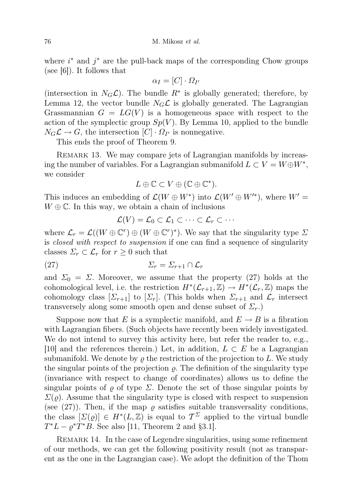where  $i^*$  and  $j^*$  are the pull-back maps of the corresponding Chow groups (see [6]). It follows that

$$
\alpha_I = [C] \cdot \Omega_{I'}
$$

(intersection in  $N_G\mathcal{L}$ ). The bundle  $R^*$  is globally generated; therefore, by Lemma 12, the vector bundle  $N_G\mathcal{L}$  is globally generated. The Lagrangian Grassmannian  $G = LG(V)$  is a homogeneous space with respect to the action of the symplectic group  $Sp(V)$ . By Lemma 10, applied to the bundle  $N_G\mathcal{L}\to G$ , the intersection  $[C]\cdot\Omega_{I'}$  is nonnegative.

This ends the proof of Theorem 9.

REMARK 13. We may compare jets of Lagrangian manifolds by increasing the number of variables. For a Lagrangian submanifold  $L \subset V = W \oplus W^*$ , we consider

$$
L \oplus \mathbb{C} \subset V \oplus (\mathbb{C} \oplus \mathbb{C}^*).
$$

This induces an embedding of  $\mathcal{L}(W \oplus W^*)$  into  $\mathcal{L}(W' \oplus W'^*)$ , where  $W' =$  $W \oplus \mathbb{C}$ . In this way, we obtain a chain of inclusions

$$
\mathcal{L}(V) = \mathcal{L}_0 \subset \mathcal{L}_1 \subset \cdots \subset \mathcal{L}_r \subset \cdots
$$

where  $\mathcal{L}_r = \mathcal{L}((W \oplus \mathbb{C}^r) \oplus (W \oplus \mathbb{C}^r)^*)$ . We say that the singularity type  $\Sigma$ is *closed with respect to suspension* if one can find a sequence of singularity classes  $\Sigma_r \subset \mathcal{L}_r$  for  $r \geq 0$  such that

(27) Σ<sup>r</sup> = Σr+1 ∩ L<sup>r</sup>

and  $\Sigma_0 = \Sigma$ . Moreover, we assume that the property (27) holds at the cohomological level, i.e. the restriction  $H^*(\mathcal{L}_{r+1}, \mathbb{Z}) \to H^*(\mathcal{L}_r, \mathbb{Z})$  maps the cohomology class  $[\Sigma_{r+1}]$  to  $[\Sigma_r]$ . (This holds when  $\Sigma_{r+1}$  and  $\mathcal{L}_r$  intersect transversely along some smooth open and dense subset of  $\Sigma_r$ .

Suppose now that E is a symplectic manifold, and  $E \to B$  is a fibration with Lagrangian fibers. (Such objects have recently been widely investigated. We do not intend to survey this activity here, but refer the reader to, e.g., [10] and the references therein.) Let, in addition,  $L \subset E$  be a Lagrangian submanifold. We denote by  $\rho$  the restriction of the projection to L. We study the singular points of the projection  $\rho$ . The definition of the singularity type (invariance with respect to change of coordinates) allows us to define the singular points of  $\varrho$  of type  $\Sigma$ . Denote the set of those singular points by  $\Sigma(\rho)$ . Assume that the singularity type is closed with respect to suspension (see (27)). Then, if the map  $\rho$  satisfies suitable transversality conditions, the class  $[\Sigma(\varrho)] \in H^*(L, \mathbb{Z})$  is equal to  $\mathcal{T}^{\Sigma}$  applied to the virtual bundle  $T^*L - \varrho^*T^*B$ . See also [11, Theorem 2 and §3.1].

REMARK 14. In the case of Legendre singularities, using some refinement of our methods, we can get the following positivity result (not as transparent as the one in the Lagrangian case). We adopt the definition of the Thom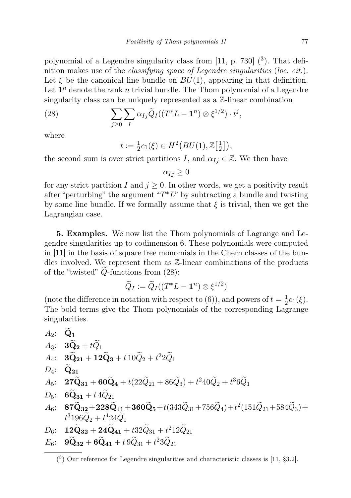polynomial of a Legendre singularity class from  $[11, p. 730]$   $(3)$ . That definition makes use of the *classifying space of Legendre singularities* (*loc. cit.*). Let  $\xi$  be the canonical line bundle on  $BU(1)$ , appearing in that definition. Let  $\mathbf{1}^n$  denote the rank n trivial bundle. The Thom polynomial of a Legendre singularity class can be uniquely represented as a Z-linear combination

(28) 
$$
\sum_{j\geq 0} \sum_{I} \alpha_{Ij} \widetilde{Q}_I((T^*L - \mathbf{1}^n) \otimes \xi^{1/2}) \cdot t^j,
$$

where

$$
t := \frac{1}{2}c_1(\xi) \in H^2\big(BU(1), \mathbb{Z}\big[\frac{1}{2}\big]\big),
$$

the second sum is over strict partitions I, and  $\alpha_{I_i} \in \mathbb{Z}$ . We then have

 $\alpha_{Ij} \geq 0$ 

for any strict partition I and  $j \geq 0$ . In other words, we get a positivity result after "perturbing" the argument " $T^*L$ " by subtracting a bundle and twisting by some line bundle. If we formally assume that  $\xi$  is trivial, then we get the Lagrangian case.

5. Examples. We now list the Thom polynomials of Lagrange and Legendre singularities up to codimension 6. These polynomials were computed in [11] in the basis of square free monomials in the Chern classes of the bundles involved. We represent them as Z-linear combinations of the products of the "twisted"  $\widetilde{Q}$ -functions from (28):

$$
\widetilde{Q}_I:=\widetilde{Q}_I((T^*L-\mathbf{1}^n)\otimes\xi^{1/2})
$$

(note the difference in notation with respect to (6)), and powers of  $t=\frac{1}{2}$  $\frac{1}{2}c_1(\xi)$ . The bold terms give the Thom polynomials of the corresponding Lagrange singularities.

A<sub>2</sub>: **Q**<sub>1</sub>  
\nA<sub>3</sub>: **3**
$$
\tilde{Q}_2 + t\tilde{Q}_1
$$
  
\nA<sub>4</sub>: **3** $\tilde{Q}_2$ <sub>1</sub> + **12** $\tilde{Q}_3$  + **t** 10 $\tilde{Q}_2$  + **t**<sup>2</sup><sub>2</sub> $\tilde{Q}_1$   
\nA<sub>5</sub>: **27** $\tilde{Q}_{31}$  + **60** $\tilde{Q}_4$  + **t**(22 $\tilde{Q}_{21}$  + 86 $\tilde{Q}_3$ ) + **t**<sup>2</sup><sub>4</sub>0 $\tilde{Q}_2$  + **t**<sup>3</sup>6 $\tilde{Q}_1$   
\nD<sub>5</sub>: **6** $\tilde{Q}_{31}$  + **t** 4 $\tilde{Q}_{21}$   
\nA<sub>6</sub>: **87** $\tilde{Q}_{32}$  + **228** $\tilde{Q}_{41}$  + **360** $\tilde{Q}_5$  + **t**(343 $\tilde{Q}_{31}$  + 756 $\tilde{Q}_4$ ) + **t**<sup>2</sup>(151 $\tilde{Q}_{21}$  + 584 $\tilde{Q}_3$ ) +  
\n**t**<sup>3</sup>196 $\tilde{Q}_2$  + **t**<sup>4</sup>24 $\tilde{Q}_1$   
\nD<sub>6</sub>: **12** $\tilde{Q}_{32}$  + **24** $\tilde{Q}_{41}$  + **t**32 $\tilde{Q}_{31}$  + **t**<sup>2</sup>12 $\tilde{Q}_{21}$ 

$$
E_6: \quad \mathbf{9\widetilde{Q}_{32}} + \mathbf{6\widetilde{Q}_{41}} + t\,\mathbf{9\widetilde{Q}_{31}} + t^2\mathbf{3\widetilde{Q}_{21}}
$$

 $(3)$  Our reference for Legendre singularities and characteristic classes is [11, §3.2].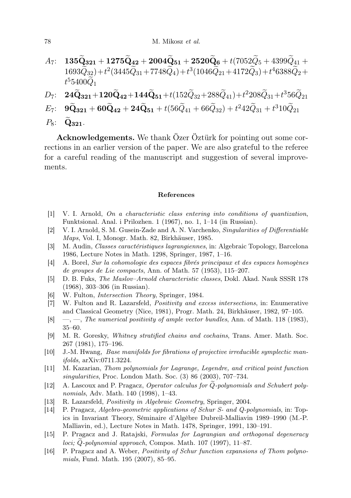- $A_7: 135\widetilde{\mathbf{Q}}_{321} + 1275\widetilde{\mathbf{Q}}_{42} + 2004\widetilde{\mathbf{Q}}_{51} + 2520\widetilde{\mathbf{Q}}_6 + t(7052\widetilde{Q}_5 + 4399\widetilde{Q}_{41} +$  $(1693\tilde{Q}_{32})+t^2(3445\tilde{Q}_{31}+7748\tilde{Q}_4)+t^3(1046\tilde{Q}_{21}+4172\tilde{Q}_3)+t^46388\tilde{Q}_2+$  $t^5 5 400 \widetilde{Q}_1$
- $D_7: \quad {\bf 24 \widetilde{Q}_{321}} + {\bf 120 \widetilde{Q}_{42}} + {\bf 144 \widetilde{Q}_{51}} + t (152 \widetilde{Q}_{32} + 288 \widetilde{Q}_{41}) + t^2 208 \widetilde{Q}_{31} + t^3 56 \widetilde{Q}_{21}$
- $E_7$ :  $9\widetilde{Q}_{321} + 60\widetilde{Q}_{42} + 24\widetilde{Q}_{51} + t(56\widetilde{Q}_{41} + 66\widetilde{Q}_{32}) + t^242\widetilde{Q}_{31} + t^310\widetilde{Q}_{21}$
- $P_8$ :  $\widetilde{\mathbf{Q}}_{321}$ .

Acknowledgements. We thank Özer Öztürk for pointing out some corrections in an earlier version of the paper. We are also grateful to the referee for a careful reading of the manuscript and suggestion of several improvements.

## References

- [1] V. I. Arnold, On a characteristic class entering into conditions of quantization, Funktsional. Anal. i Prilozhen. 1 (1967), no. 1, 1–14 (in Russian).
- [2] V. I. Arnold, S. M. Gusein-Zade and A. N. Varchenko, Singularities of Differentiable Maps, Vol. I, Monogr. Math. 82, Birkhäuser, 1985.
- [3] M. Audin, Classes caractéristiques lagrangiennes, in: Algebraic Topology, Barcelona 1986, Lecture Notes in Math. 1298, Springer, 1987, 1–16.
- [4] A. Borel, Sur la cohomologie des espaces fibrés principaux et des espaces homogènes de groupes de Lie compacts, Ann. of Math. 57 (1953), 115–207.
- [5] D. B. Fuks, The Maslov–Arnold characteristic classes, Dokl. Akad. Nauk SSSR 178 (1968), 303–306 (in Russian).
- [6] W. Fulton, Intersection Theory, Springer, 1984.
- [7] W. Fulton and R. Lazarsfeld, Positivity and excess intersections, in: Enumerative and Classical Geometry (Nice, 1981), Progr. Math. 24, Birkhäuser, 1982, 97–105.
- $[8] \quad -$ , The numerical positivity of ample vector bundles, Ann. of Math. 118 (1983), 35–60.
- [9] M. R. Goresky, Whitney stratified chains and cochains, Trans. Amer. Math. Soc. 267 (1981), 175–196.
- [10] J.-M. Hwang, Base manifolds for fibrations of projective irreducible symplectic manifolds, arXiv:0711.3224.
- [11] M. Kazarian, Thom polynomials for Lagrange, Legendre, and critical point function singularities, Proc. London Math. Soc. (3) 86 (2003), 707–734.
- [12] A. Lascoux and P. Pragacz, Operator calculus for  $\dot{Q}$ -polynomials and Schubert polynomials, Adv. Math. 140 (1998), 1–43.
- [13] R. Lazarsfeld, *Positivity in Algebraic Geometry*, Springer, 2004.
- [14] P. Pragacz, Algebro-geometric applications of Schur S- and Q-polynomials, in: Topics in Invariant Theory, Séminaire d'Algèbre Dubreil-Malliavin 1989–1990 (M.-P. Malliavin, ed.), Lecture Notes in Math. 1478, Springer, 1991, 130–191.
- [15] P. Pragacz and J. Ratajski, Formulas for Lagrangian and orthogonal degeneracy  $loci; Q$ -polynomial approach, Compos. Math. 107 (1997), 11–87.
- [16] P. Pragacz and A. Weber, Positivity of Schur function expansions of Thom polynomials, Fund. Math. 195 (2007), 85–95.